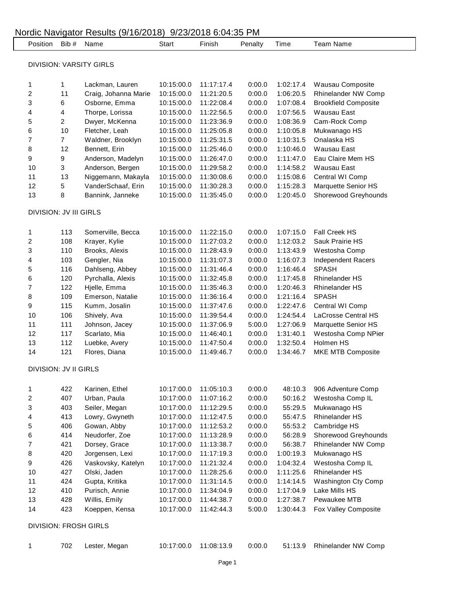|                         | Position Bib #               | Name                    | Start      | Finish     | Penalty | Time      | <b>Team Name</b>            |
|-------------------------|------------------------------|-------------------------|------------|------------|---------|-----------|-----------------------------|
|                         |                              | DIVISION: VARSITY GIRLS |            |            |         |           |                             |
|                         |                              |                         |            |            |         |           |                             |
| 1                       | 1                            | Lackman, Lauren         | 10:15:00.0 | 11:17:17.4 | 0:00.0  | 1:02:17.4 | Wausau Composite            |
| 2                       | 11                           | Craig, Johanna Marie    | 10:15:00.0 | 11:21:20.5 | 0:00.0  | 1:06:20.5 | Rhinelander NW Comp         |
| 3                       | 6                            | Osborne, Emma           | 10:15:00.0 | 11:22:08.4 | 0:00.0  | 1:07:08.4 | <b>Brookfield Composite</b> |
| 4                       | 4                            | Thorpe, Lorissa         | 10:15:00.0 | 11:22:56.5 | 0:00.0  | 1:07:56.5 | Wausau East                 |
| 5                       | $\overline{c}$               | Dwyer, McKenna          | 10:15:00.0 | 11:23:36.9 | 0:00.0  | 1:08:36.9 | Cam-Rock Comp               |
| 6                       | 10                           | Fletcher, Leah          | 10:15:00.0 | 11:25:05.8 | 0:00.0  | 1:10:05.8 | Mukwanago HS                |
| 7                       | $\overline{7}$               | Waldner, Brooklyn       | 10:15:00.0 | 11:25:31.5 | 0:00.0  | 1:10:31.5 | Onalaska HS                 |
| 8                       | 12                           | Bennett, Erin           | 10:15:00.0 | 11:25:46.0 | 0:00.0  | 1:10:46.0 | Wausau East                 |
| 9                       | 9                            | Anderson, Madelyn       | 10:15:00.0 | 11:26:47.0 | 0:00.0  | 1:11:47.0 | Eau Claire Mem HS           |
| 10                      | 3                            | Anderson, Bergen        | 10:15:00.0 | 11:29:58.2 | 0:00.0  | 1:14:58.2 | Wausau East                 |
| 11                      | 13                           | Niggemann, Makayla      | 10:15:00.0 | 11:30:08.6 | 0:00.0  | 1:15:08.6 | Central WI Comp             |
| 12                      | 5                            | VanderSchaaf, Erin      | 10:15:00.0 | 11:30:28.3 | 0:00.0  | 1:15:28.3 | Marquette Senior HS         |
| 13                      | 8                            | Bannink, Janneke        | 10:15:00.0 | 11:35:45.0 | 0:00.0  | 1:20:45.0 | Shorewood Greyhounds        |
|                         | DIVISION: JV III GIRLS       |                         |            |            |         |           |                             |
| 1                       | 113                          | Somerville, Becca       | 10:15:00.0 | 11:22:15.0 | 0:00.0  | 1:07:15.0 | Fall Creek HS               |
| 2                       | 108                          | Krayer, Kylie           | 10:15:00.0 | 11:27:03.2 | 0:00.0  | 1:12:03.2 | Sauk Prairie HS             |
| 3                       | 110                          | Brooks, Alexis          | 10:15:00.0 | 11:28:43.9 | 0:00.0  | 1:13:43.9 | Westosha Comp               |
| 4                       | 103                          | Gengler, Nia            | 10:15:00.0 | 11:31:07.3 | 0:00.0  | 1:16:07.3 | <b>Independent Racers</b>   |
| 5                       | 116                          | Dahlseng, Abbey         | 10:15:00.0 | 11:31:46.4 | 0:00.0  | 1:16:46.4 | <b>SPASH</b>                |
| 6                       | 120                          | Pyrchalla, Alexis       | 10:15:00.0 | 11:32:45.8 | 0:00.0  | 1:17:45.8 | <b>Rhinelander HS</b>       |
| 7                       | 122                          | Hjelle, Emma            | 10:15:00.0 | 11:35:46.3 | 0:00.0  | 1:20:46.3 | <b>Rhinelander HS</b>       |
| 8                       | 109                          | Emerson, Natalie        | 10:15:00.0 | 11:36:16.4 | 0:00.0  | 1:21:16.4 | <b>SPASH</b>                |
| 9                       | 115                          | Kumm, Josalin           | 10:15:00.0 | 11:37:47.6 | 0:00.0  | 1:22:47.6 | Central WI Comp             |
| 10                      | 106                          | Shively, Ava            | 10:15:00.0 | 11:39:54.4 | 0:00.0  | 1:24:54.4 | LaCrosse Central HS         |
| 11                      | 111                          | Johnson, Jacey          | 10:15:00.0 | 11:37:06.9 | 5:00.0  | 1:27:06.9 | Marquette Senior HS         |
| 12                      | 117                          | Scarlato, Mia           | 10:15:00.0 | 11:46:40.1 | 0:00.0  | 1:31:40.1 | Westosha Comp NPier         |
| 13                      | 112                          | Luebke, Avery           | 10:15:00.0 | 11:47:50.4 | 0:00.0  | 1:32:50.4 | Holmen HS                   |
| 14                      | 121                          | Flores, Diana           | 10:15:00.0 | 11:49:46.7 | 0:00.0  | 1:34:46.7 | MKE MTB Composite           |
|                         | <b>DIVISION: JV II GIRLS</b> |                         |            |            |         |           |                             |
|                         |                              |                         |            |            |         |           |                             |
| 1                       | 422                          | Karinen, Ethel          | 10:17:00.0 | 11:05:10.3 | 0:00.0  | 48:10.3   | 906 Adventure Comp          |
| $\overline{\mathbf{c}}$ | 407                          | Urban, Paula            | 10:17:00.0 | 11:07:16.2 | 0:00.0  | 50:16.2   | Westosha Comp IL            |
| 3                       | 403                          | Seiler, Megan           | 10:17:00.0 | 11:12:29.5 | 0:00.0  | 55:29.5   | Mukwanago HS                |
| 4                       | 413                          | Lowry, Gwyneth          | 10:17:00.0 | 11:12:47.5 | 0:00.0  | 55:47.5   | Rhinelander HS              |
| 5                       | 406                          | Gowan, Abby             | 10:17:00.0 | 11:12:53.2 | 0:00.0  | 55:53.2   | Cambridge HS                |
| 6                       | 414                          | Neudorfer, Zoe          | 10:17:00.0 | 11:13:28.9 | 0:00.0  | 56:28.9   | Shorewood Greyhounds        |
| 7                       | 421                          | Dorsey, Grace           | 10:17:00.0 | 11:13:38.7 | 0:00.0  | 56:38.7   | Rhinelander NW Comp         |
| 8                       | 420                          | Jorgensen, Lexi         | 10:17:00.0 | 11:17:19.3 | 0:00.0  | 1:00:19.3 | Mukwanago HS                |
| 9                       | 426                          | Vaskovsky, Katelyn      | 10:17:00.0 | 11:21:32.4 | 0:00.0  | 1:04:32.4 | Westosha Comp IL            |
| 10                      | 427                          | Olski, Jaden            | 10:17:00.0 | 11:28:25.6 | 0:00.0  | 1:11:25.6 | Rhinelander HS              |
| 11                      | 424                          | Gupta, Kritika          | 10:17:00.0 | 11:31:14.5 | 0:00.0  | 1:14:14.5 | Washington Cty Comp         |
| 12                      | 410                          | Purisch, Annie          | 10:17:00.0 | 11:34:04.9 | 0:00.0  | 1:17:04.9 | Lake Mills HS               |
| 13                      | 428                          | Willis, Emily           | 10:17:00.0 | 11:44:38.7 | 0:00.0  | 1:27:38.7 | Pewaukee MTB                |
| 14                      | 423                          | Koeppen, Kensa          | 10:17:00.0 | 11:42:44.3 | 5:00.0  | 1:30:44.3 | Fox Valley Composite        |
|                         | <b>DIVISION: FROSH GIRLS</b> |                         |            |            |         |           |                             |
| 1                       | 702                          | Lester, Megan           | 10:17:00.0 | 11:08:13.9 | 0:00.0  | 51:13.9   | Rhinelander NW Comp         |
|                         |                              |                         |            |            |         |           |                             |